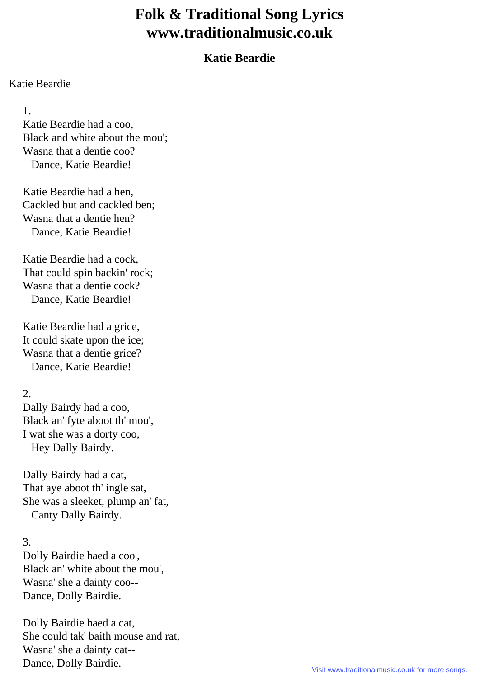# **Folk & Traditional Song Lyrics www.traditionalmusic.co.uk**

## **Katie Beardie**

#### Katie Beardie

1.

 Katie Beardie had a coo, Black and white about the mou'; Wasna that a dentie coo? Dance, Katie Beardie!

 Katie Beardie had a hen, Cackled but and cackled ben; Wasna that a dentie hen? Dance, Katie Beardie!

 Katie Beardie had a cock, That could spin backin' rock; Wasna that a dentie cock? Dance, Katie Beardie!

 Katie Beardie had a grice, It could skate upon the ice; Wasna that a dentie grice? Dance, Katie Beardie!

### 2.

 Dally Bairdy had a coo, Black an' fyte aboot th' mou', I wat she was a dorty coo, Hey Dally Bairdy.

 Dally Bairdy had a cat, That aye aboot th' ingle sat, She was a sleeket, plump an' fat, Canty Dally Bairdy.

#### 3.

 Dolly Bairdie haed a coo', Black an' white about the mou', Wasna' she a dainty coo-- Dance, Dolly Bairdie.

 Dolly Bairdie haed a cat, She could tak' baith mouse and rat, Wasna' she a dainty cat-- Dance, Dolly Bairdie.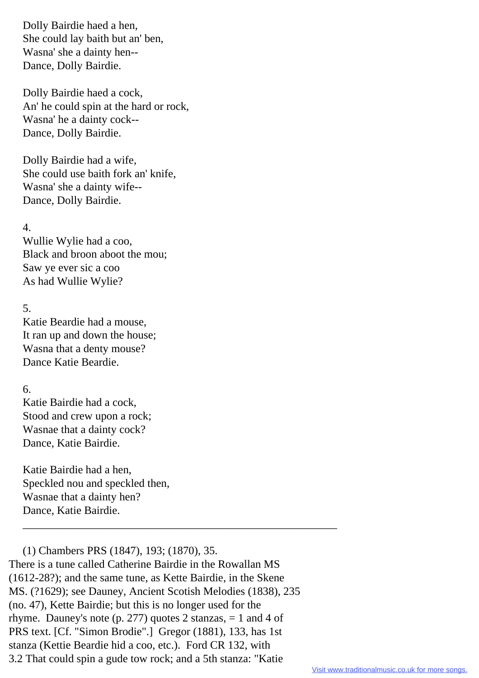Dolly Bairdie haed a hen, She could lay baith but an' ben, Wasna' she a dainty hen-- Dance, Dolly Bairdie.

 Dolly Bairdie haed a cock, An' he could spin at the hard or rock, Wasna' he a dainty cock-- Dance, Dolly Bairdie.

 Dolly Bairdie had a wife, She could use baith fork an' knife, Wasna' she a dainty wife-- Dance, Dolly Bairdie.

#### 4.

 Wullie Wylie had a coo, Black and broon aboot the mou; Saw ye ever sic a coo As had Wullie Wylie?

#### 5.

 Katie Beardie had a mouse, It ran up and down the house; Wasna that a denty mouse? Dance Katie Beardie.

#### 6.

 Katie Bairdie had a cock, Stood and crew upon a rock; Wasnae that a dainty cock? Dance, Katie Bairdie.

 Katie Bairdie had a hen, Speckled nou and speckled then, Wasnae that a dainty hen? Dance, Katie Bairdie.

 (1) Chambers PRS (1847), 193; (1870), 35. There is a tune called Catherine Bairdie in the Rowallan MS (1612-28?); and the same tune, as Kette Bairdie, in the Skene MS. (?1629); see Dauney, Ancient Scotish Melodies (1838), 235 (no. 47), Kette Bairdie; but this is no longer used for the rhyme. Dauney's note (p. 277) quotes 2 stanzas, = 1 and 4 of PRS text. [Cf. "Simon Brodie".] Gregor (1881), 133, has 1st stanza (Kettie Beardie hid a coo, etc.). Ford CR 132, with 3.2 That could spin a gude tow rock; and a 5th stanza: "Katie

\_\_\_\_\_\_\_\_\_\_\_\_\_\_\_\_\_\_\_\_\_\_\_\_\_\_\_\_\_\_\_\_\_\_\_\_\_\_\_\_\_\_\_\_\_\_\_\_\_\_\_\_\_\_\_\_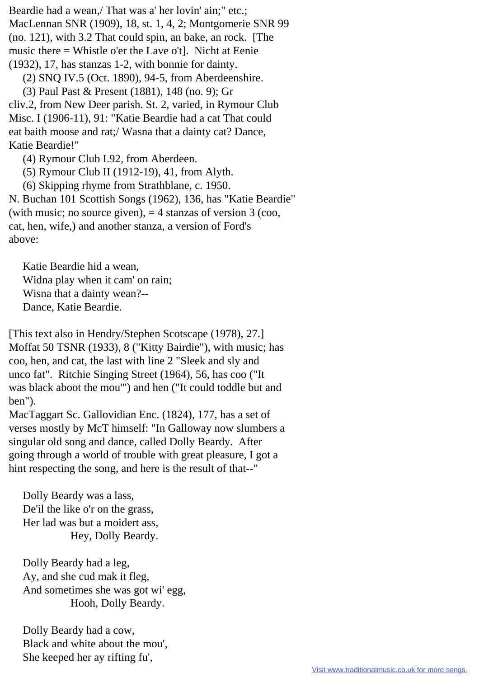Beardie had a wean,/ That was a' her lovin' ain;" etc.; MacLennan SNR (1909), 18, st. 1, 4, 2; Montgomerie SNR 99 (no. 121), with 3.2 That could spin, an bake, an rock. [The music there = Whistle o'er the Lave o't]. Nicht at Eenie (1932), 17, has stanzas 1-2, with bonnie for dainty.

(2) SNQ IV.5 (Oct. 1890), 94-5, from Aberdeenshire.

(3) Paul Past & Present (1881), 148 (no. 9); Gr

cliv.2, from New Deer parish. St. 2, varied, in Rymour Club Misc. I (1906-11), 91: "Katie Beardie had a cat That could eat baith moose and rat;/ Wasna that a dainty cat? Dance, Katie Beardie!"

(4) Rymour Club I.92, from Aberdeen.

(5) Rymour Club II (1912-19), 41, from Alyth.

(6) Skipping rhyme from Strathblane, c. 1950.

N. Buchan 101 Scottish Songs (1962), 136, has "Katie Beardie" (with music; no source given),  $=$  4 stanzas of version 3 (coo, cat, hen, wife,) and another stanza, a version of Ford's above:

 Katie Beardie hid a wean, Widna play when it cam' on rain; Wisna that a dainty wean?-- Dance, Katie Beardie.

[This text also in Hendry/Stephen Scotscape (1978), 27.] Moffat 50 TSNR (1933), 8 ("Kitty Bairdie"), with music; has coo, hen, and cat, the last with line 2 "Sleek and sly and unco fat". Ritchie Singing Street (1964), 56, has coo ("It was black aboot the mou'") and hen ("It could toddle but and ben").

MacTaggart Sc. Gallovidian Enc. (1824), 177, has a set of verses mostly by McT himself: "In Galloway now slumbers a singular old song and dance, called Dolly Beardy. After going through a world of trouble with great pleasure, I got a hint respecting the song, and here is the result of that--"

 Dolly Beardy was a lass, De'il the like o'r on the grass, Her lad was but a moidert ass, Hey, Dolly Beardy.

 Dolly Beardy had a leg, Ay, and she cud mak it fleg, And sometimes she was got wi' egg, Hooh, Dolly Beardy.

 Dolly Beardy had a cow, Black and white about the mou', She keeped her ay rifting fu',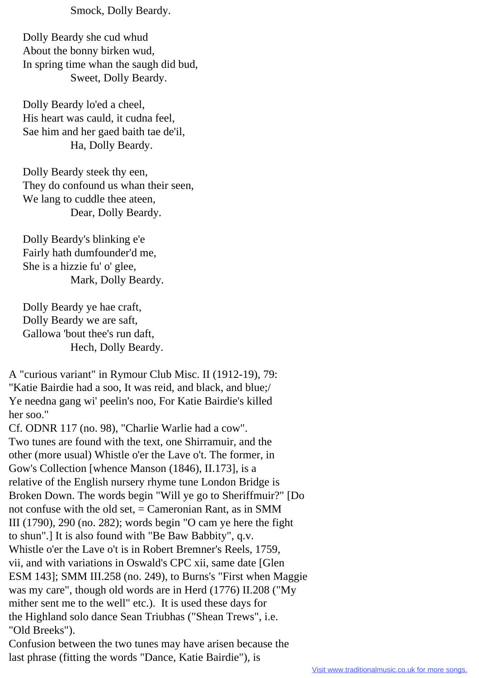Smock, Dolly Beardy.

 Dolly Beardy she cud whud About the bonny birken wud, In spring time whan the saugh did bud, Sweet, Dolly Beardy.

 Dolly Beardy lo'ed a cheel, His heart was cauld, it cudna feel, Sae him and her gaed baith tae de'il, Ha, Dolly Beardy.

 Dolly Beardy steek thy een, They do confound us whan their seen, We lang to cuddle thee ateen, Dear, Dolly Beardy.

 Dolly Beardy's blinking e'e Fairly hath dumfounder'd me, She is a hizzie fu' o' glee, Mark, Dolly Beardy.

 Dolly Beardy ye hae craft, Dolly Beardy we are saft, Gallowa 'bout thee's run daft, Hech, Dolly Beardy.

A "curious variant" in Rymour Club Misc. II (1912-19), 79: "Katie Bairdie had a soo, It was reid, and black, and blue;/ Ye needna gang wi' peelin's noo, For Katie Bairdie's killed her soo."

Cf. ODNR 117 (no. 98), "Charlie Warlie had a cow". Two tunes are found with the text, one Shirramuir, and the other (more usual) Whistle o'er the Lave o't. The former, in Gow's Collection [whence Manson (1846), II.173], is a relative of the English nursery rhyme tune London Bridge is Broken Down. The words begin "Will ye go to Sheriffmuir?" [Do not confuse with the old set, = Cameronian Rant, as in SMM III (1790), 290 (no. 282); words begin "O cam ye here the fight to shun".] It is also found with "Be Baw Babbity", q.v. Whistle o'er the Lave o't is in Robert Bremner's Reels, 1759, vii, and with variations in Oswald's CPC xii, same date [Glen ESM 143]; SMM III.258 (no. 249), to Burns's "First when Maggie was my care", though old words are in Herd (1776) II.208 ("My mither sent me to the well" etc.). It is used these days for the Highland solo dance Sean Triubhas ("Shean Trews", i.e. "Old Breeks").

Confusion between the two tunes may have arisen because the last phrase (fitting the words "Dance, Katie Bairdie"), is